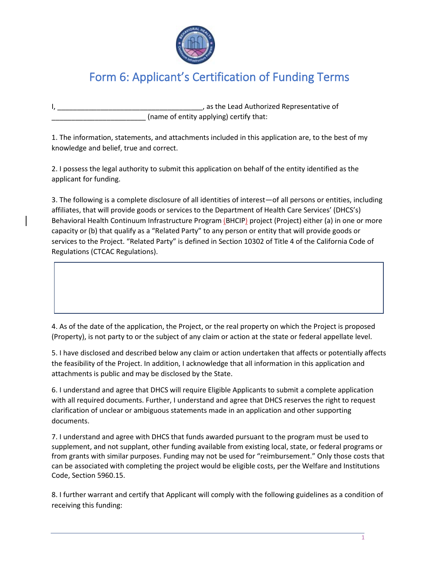

## Form 6: Applicant's Certification of Funding Terms

I, \_\_\_\_\_\_\_\_\_\_\_\_\_\_\_\_\_\_\_\_\_\_\_\_\_\_\_\_\_\_\_\_\_\_\_\_\_, as the Lead Authorized Representative of (name of entity applying) certify that:

1. The information, statements, and attachments included in this application are, to the best of my knowledge and belief, true and correct.

2. I possess the legal authority to submit this application on behalf of the entity identified as the applicant for funding.

3. The following is a complete disclosure of all identities of interest—of all persons or entities, including affiliates, that will provide goods or services to the Department of Health Care Services' (DHCS's) Behavioral Health Continuum Infrastructure Program (BHCIP) project (Project) either (a) in one or more capacity or (b) that qualify as a "Related Party" to any person or entity that will provide goods or services to the Project. "Related Party" is defined in Section 10302 of Title 4 of the California Code of Regulations (CTCAC Regulations).

4. As of the date of the application, the Project, or the real property on which the Project is proposed (Property), is not party to or the subject of any claim or action at the state or federal appellate level.

5. I have disclosed and described below any claim or action undertaken that affects or potentially affects the feasibility of the Project. In addition, I acknowledge that all information in this application and attachments is public and may be disclosed by the State.

6. I understand and agree that DHCS will require Eligible Applicants to submit a complete application with all required documents. Further, I understand and agree that DHCS reserves the right to request clarification of unclear or ambiguous statements made in an application and other supporting documents.

7. I understand and agree with DHCS that funds awarded pursuant to the program must be used to supplement, and not supplant, other funding available from existing local, state, or federal programs or from grants with similar purposes. Funding may not be used for "reimbursement." Only those costs that can be associated with completing the project would be eligible costs, per the Welfare and Institutions Code, Section 5960.15.

8. I further warrant and certify that Applicant will comply with the following guidelines as a condition of receiving this funding: